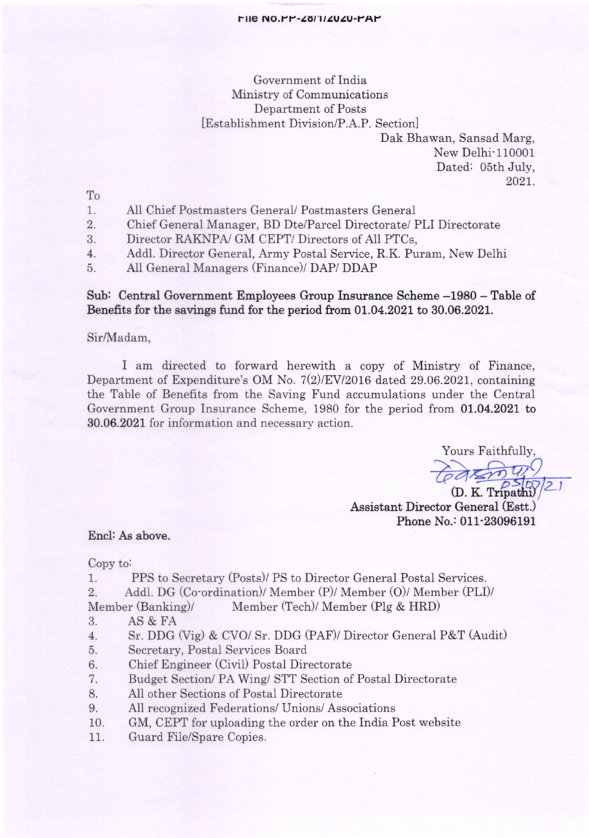Government of India Ministry of Communications Department of Posts [Establishment Division/P.A.P. Section]

Dak Bhawan, Sansad Marg, New Delhi-110001 Dated: 05th JuIy, 2027.

To

- 1. AII Chief Postmasters General/ Postmasters General
- 2. Chief General Manager, BD Dte/Parcel Directorate/ PLI Directorate
- 3. Director RAKNPA/ GM CEPT/ Directors of AII PTCs,
- 4. AddI. Director General, Army Postal Service, R.K. Puram, New Delhi
- 5. All General Managers (Finance)/ DAP/ DDAP

Sub: Central Government Employees Group Insurance Scheme -1980 - Table of Benefits for the savings fund for the period from 01.04.2021 to 30.06.2021.

## Sir/Madam,

I am directed to forward herewith a copy of Ministry of Finance, Department of Expenditure's OM No. 7(2)/EV/2016 dated 29.06.2021, containing the Table of Benefits from the Saving Fund accumulations under the Central Government Group Insurance Scheme, 1980 for the period from 01.04.2021 to 30.06.2021 for information and necessary action.

Yours Faithfully,

I

(D. K. Assistant Director General (Estt.) Phone No.: 011-23096191

## Encl: As above.

Copy to

- 1. PPS to Secretary (Posts)/ PS to Director General Postal Services.
- 2. Addl. DG (Co-ordination)/ Member (P)/ Member (O)/ Member (PLI)/
- Member (Banking)/ Member (Tech)/ Member (PIg & HRD)
- 3. AS&FA
- 4. Sr. DDG (Vig) & CVO/ Sr. DDG (PAF)/ Director General P&T (Audit)
- 5. Secretary, Postal Services Board
- 6. Chief Engineer (Civil) Postal Directorate
- 7. Budget Section/ PA Wing/ STT Section of Postal Directorate
- 8. All other Sections of Postal Directorate
- 9. AII recognized Federations/ Unions/ Associations
- 10. GM, CEPT for uploading the order on the India Post website
- 11. Guard File/Spare Copies.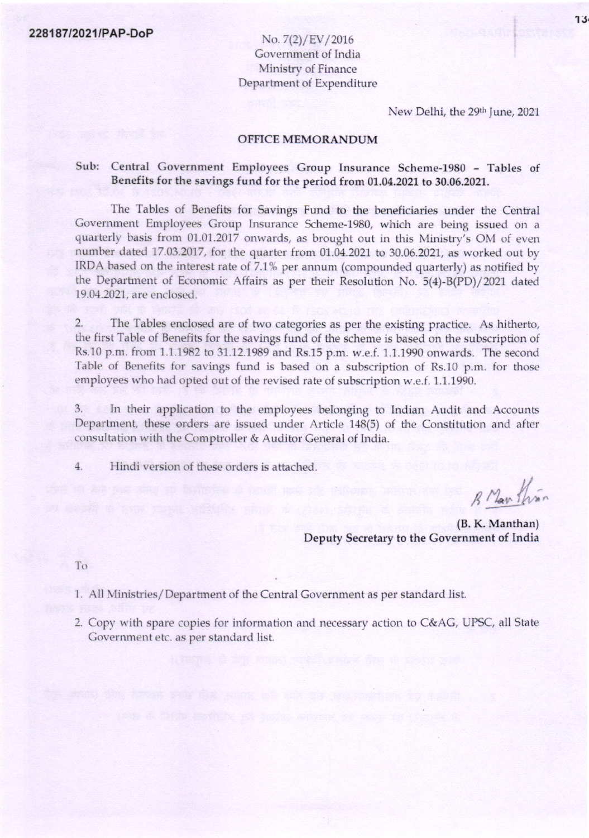No. 7(2)/EV/2016 Government of India Ministry of Finance Department of Expenditure

New Delhi, the 29th June, 2021

## **OFFICE MEMORANDUM**

## Sub: Central Government Employees Group Insurance Scheme-1980 - Tables of Benefits for the savings fund for the period from 01.04.2021 to 30.06.2021.

The Tables of Benefits for Savings Fund to the beneficiaries under the Central Government Employees Group Insurance Scheme-1980, which are being issued on a quarterly basis from 01.01.2017 onwards, as brought out in this Ministry's OM of even number dated 17.03.2017, for the quarter from 01.04.2021 to 30.06.2021, as worked out by IRDA based on the interest rate of 7.1% per annum (compounded quarterly) as notified by the Department of Economic Affairs as per their Resolution No. 5(4)-B(PD)/2021 dated 19.04.2021, are enclosed.

 $2.$ The Tables enclosed are of two categories as per the existing practice. As hitherto, the first Table of Benefits for the savings fund of the scheme is based on the subscription of Rs.10 p.m. from 1.1.1982 to 31.12.1989 and Rs.15 p.m. w.e.f. 1.1.1990 onwards. The second Table of Benefits for savings fund is based on a subscription of Rs.10 p.m. for those employees who had opted out of the revised rate of subscription w.e.f. 1.1.1990.

3. In their application to the employees belonging to Indian Audit and Accounts Department, these orders are issued under Article 148(5) of the Constitution and after consultation with the Comptroller & Auditor General of India.

Hindi version of these orders is attached.  $4.$ 

B Man thin

(B. K. Manthan) Deputy Secretary to the Government of India

To

1. All Ministries/Department of the Central Government as per standard list.

2. Copy with spare copies for information and necessary action to C&AG, UPSC, all State Government etc. as per standard list.